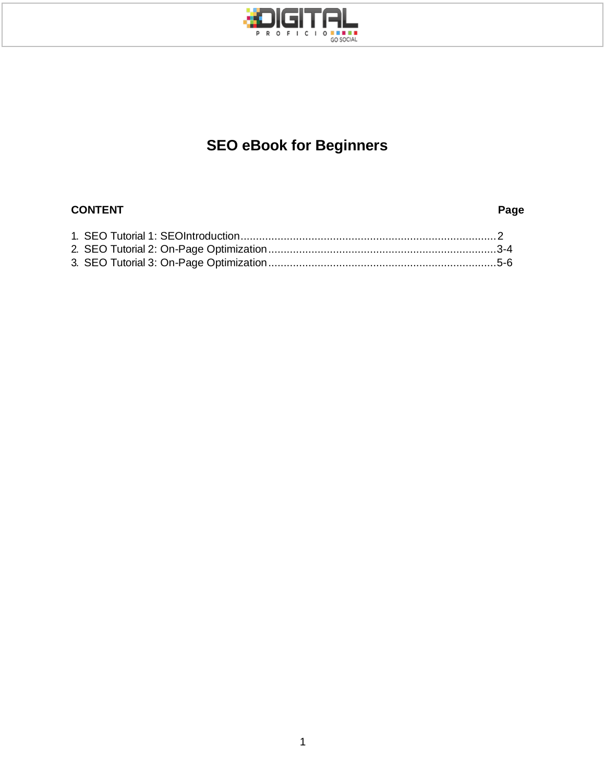

## **SEO eBook for Beginners**

#### **CONTENT Page**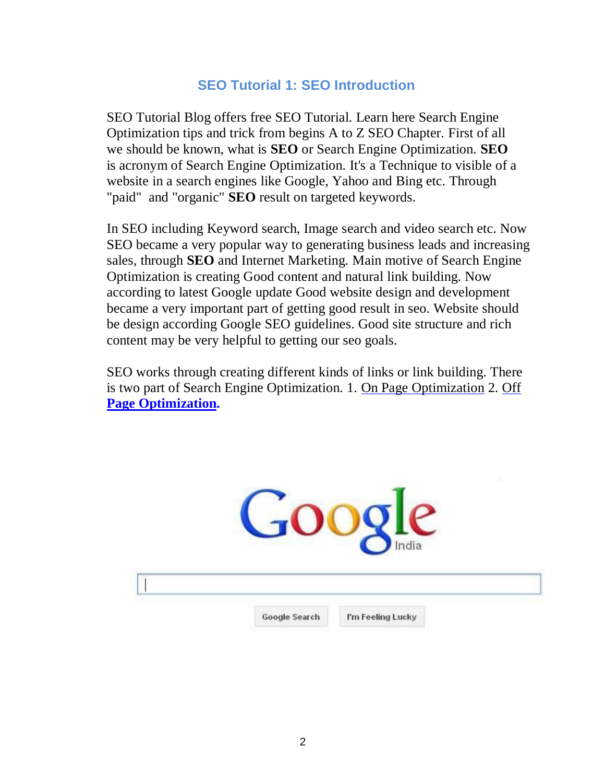#### **SEO Tutorial 1: SEO Introduction**

SEO Tutorial Blog offers free SEO Tutorial. Learn here Search Engine Optimization tips and trick from begins A to Z SEO Chapter. First of all we should be known, what is **SEO** or Search Engine Optimization. **SEO**  is acronym of Search Engine Optimization. It's a Technique to visible of a website in a search engines like Google, Yahoo and Bing etc. Through "paid" and "organic" **SEO** result on targeted keywords.

In SEO including Keyword search, Image search and video search etc. Now SEO became a very popular way to generating business leads and increasing sales, through **SEO** and Internet Marketing. Main motive of Search Engine Optimization is creating Good content and natural link building. Now according to latest Google update Good website design and development became a very important part of getting good result in seo. Website should be design according Google SEO guidelines. Good site structure and rich content may be very helpful to getting our seo goals.

SEO works through creating different kinds of links or link building. There is two part of Search Engine Optimization. 1. [On Page Optimization](http://www.seotutorialblog.org/2013/04/on-page-optimization.html) 2. [Off](http://www.seotutorialblog.org/2013/04/off-page-optimization.html) **[Page Optimization.](http://www.seotutorialblog.org/2013/04/off-page-optimization.html)**

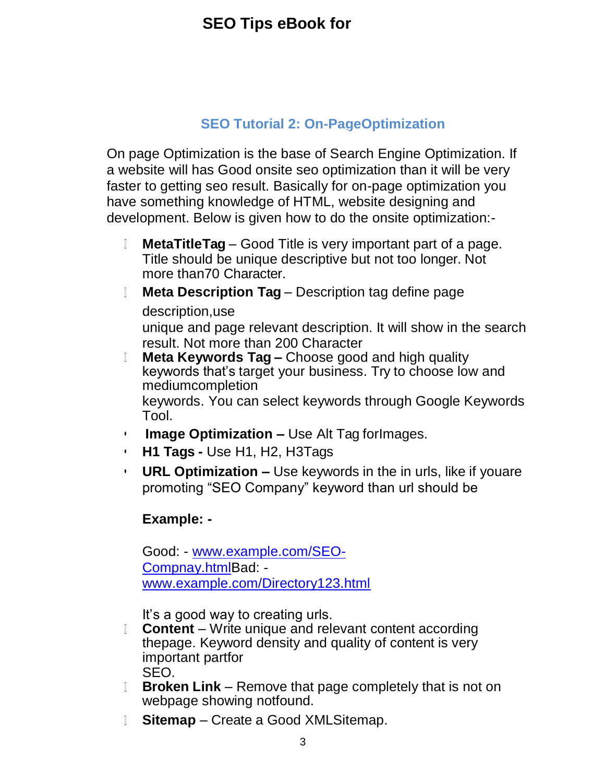#### **SEO Tutorial 2: On-PageOptimization**

On page Optimization is the base of Search Engine Optimization. If a website will has Good onsite seo optimization than it will be very faster to getting seo result. Basically for on-page optimization you have something knowledge of HTML, website designing and development. Below is given how to do the onsite optimization:-

- $\mathbb{L}$ **MetaTitleTag** – Good Title is very important part of a page. Title should be unique descriptive but not too longer. Not more than70 Character.
- **Meta Description Tag** Description tag define page description,use unique and page relevant description. It will show in the search result. Not more than 200 Character
- **Meta Keywords Tag –** Choose good and high quality  $\mathbb{L}$ keywords that's target your business. Try to choose low and mediumcompletion keywords. You can select keywords through Google Keywords Tool.
- **• Image Optimization –** Use Alt Tag forImages.
- **• H1 Tags -** Use H1, H2, H3Tags
- **• URL Optimization –** Use keywords in the in urls, like if youare promoting "SEO Company" keyword than url should be

#### **Example: -**

Good: - [www.example.com/SEO-](http://www.example.com/SEO-Compnay.html)[Compnay.htmlB](http://www.example.com/SEO-Compnay.html)ad: [www.example.com/Directory123.html](http://www.example.com/Directory123.html)

It's a good way to creating urls.

- **Content**  Write unique and relevant content according  $\mathbb{L}$ thepage. Keyword density and quality of content is very important partfor SEO.
- **Broken Link** Remove that page completely that is not on webpage showing notfound.
- **Sitemap**  Create a Good XMLSitemap. $\mathbb{R}$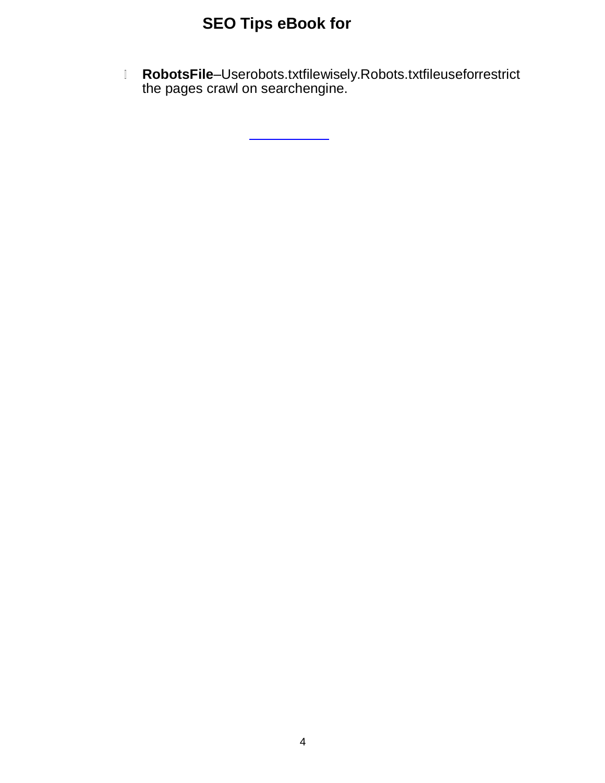**RobotsFile**–Userobots.txtfilewisely.Robots.txtfileuseforrestrict the pages crawl on searchengine.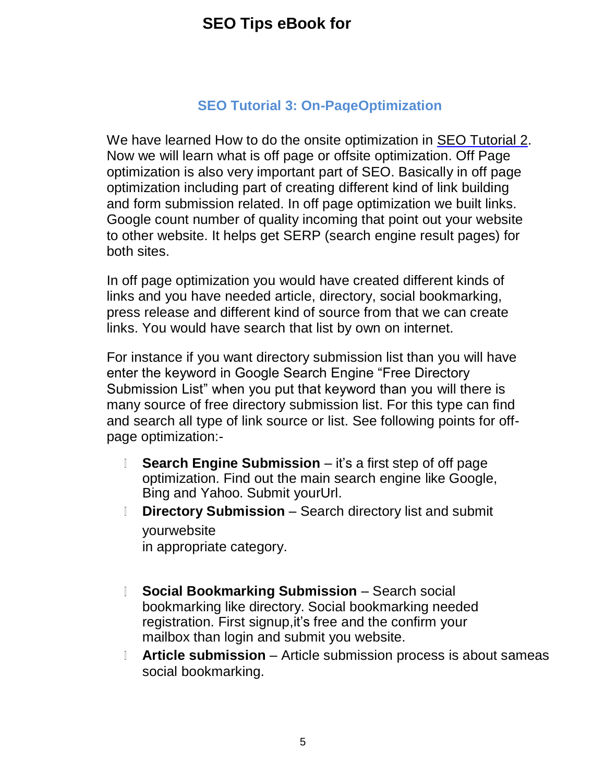### **SEO Tutorial 3: On-PageOptimization**

We have learned How to do the onsite optimization in [SEO Tutorial 2.](http://www.seotutorialblog.org/2013/04/on-page-optimization.html) Now we will learn what is off page or offsite optimization. Off Page optimization is also very important part of SEO. Basically in off page optimization including part of creating different kind of link building and form submission related. In off page optimization we built links. Google count number of quality incoming that point out your website to other website. It helps get SERP (search engine result pages) for both sites.

In off page optimization you would have created different kinds of links and you have needed article, directory, social bookmarking, press release and different kind of source from that we can create links. You would have search that list by own on internet.

For instance if you want directory submission list than you will have enter the keyword in Google Search Engine "Free Directory Submission List" when you put that keyword than you will there is many source of free directory submission list. For this type can find and search all type of link source or list. See following points for offpage optimization:-

- $\mathbb{L}$ **Search Engine Submission** – it's a first step of off page optimization. Find out the main search engine like Google, Bing and Yahoo. Submit yourUrl.
- **Directory Submission**  Search directory list and submit  $\mathbb{R}$ yourwebsite in appropriate category.
- **Social Bookmarking Submission Search social**  $\mathbb{L}$ bookmarking like directory. Social bookmarking needed registration. First signup,it's free and the confirm your mailbox than login and submit you website.
- **Article submission**  Article submission process is about sameas  $\mathbb{L}$ social bookmarking.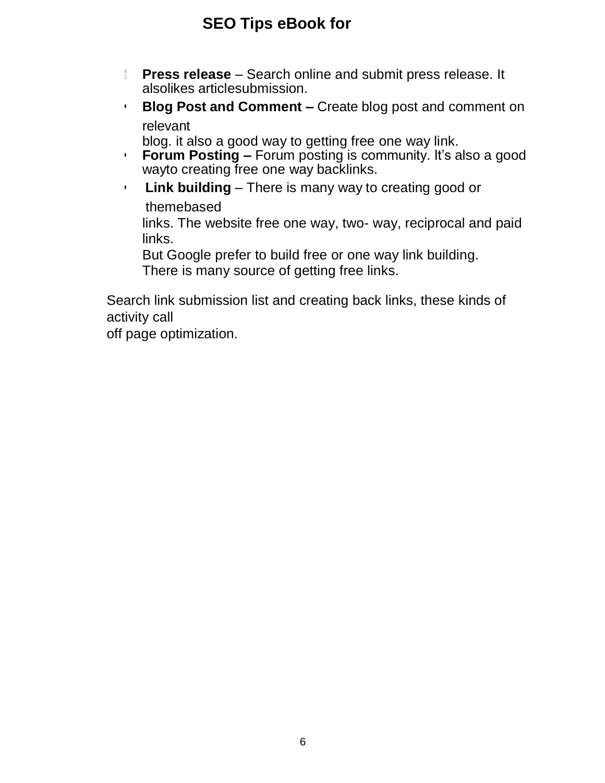- **Press release**  Search online and submit press release. It  $\mathbb{L}$ alsolikes articlesubmission.
- **• Blog Post and Comment –** Create blog post and comment on relevant

blog. it also a good way to getting free one way link.

- **• Forum Posting –** Forum posting is community. It's also a good wayto creating free one way backlinks.
- **• Link building**  There is many way to creating good or themebased

links. The website free one way, two- way, reciprocal and paid links.

But Google prefer to build free or one way link building. There is many source of getting free links.

Search link submission list and creating back links, these kinds of activity call

off page optimization.